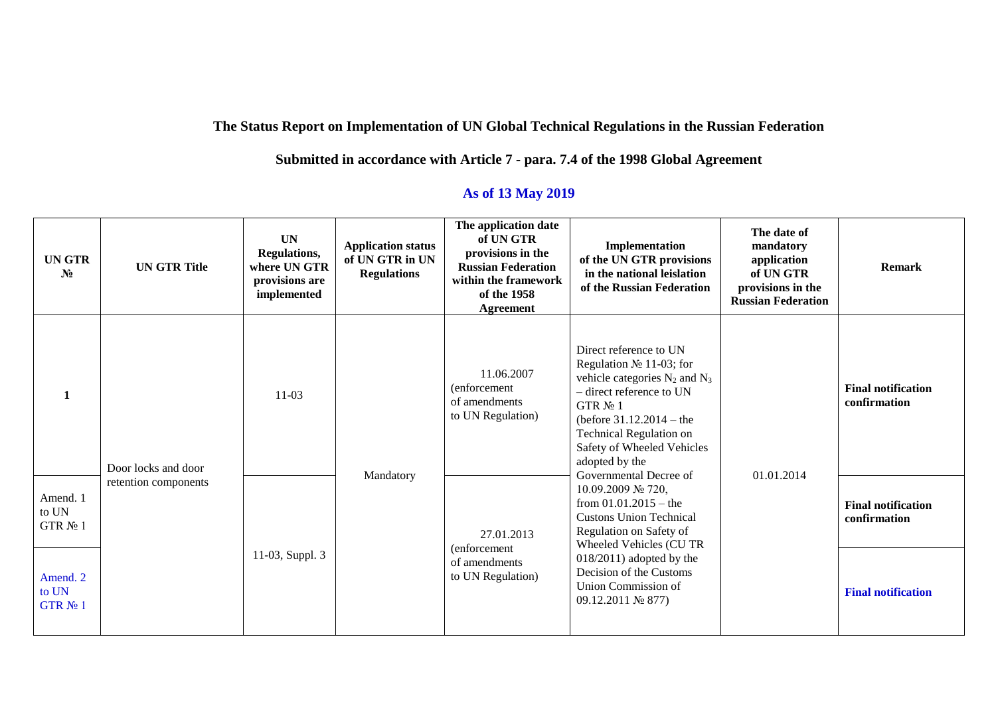## **The Status Report on Implementation of UN Global Technical Regulations in the Russian Federation**

## **Submitted in accordance with Article 7 - para. 7.4 of the 1998 Global Agreement**

## **As of 13 May 2019**

| <b>UN GTR</b><br>$N_2$           | <b>UN GTR Title</b>                         | <b>UN</b><br>Regulations,<br>where UN GTR<br>provisions are<br>implemented | <b>Application status</b><br>of UN GTR in UN<br><b>Regulations</b> | The application date<br>of UN GTR<br>provisions in the<br><b>Russian Federation</b><br>within the framework<br>of the 1958<br><b>Agreement</b> | Implementation<br>of the UN GTR provisions<br>in the national leislation<br>of the Russian Federation                                                                                                                                                                                                                                                                                                                                                                                                                   | The date of<br>mandatory<br>application<br>of UN GTR<br>provisions in the<br><b>Russian Federation</b> | <b>Remark</b>                             |
|----------------------------------|---------------------------------------------|----------------------------------------------------------------------------|--------------------------------------------------------------------|------------------------------------------------------------------------------------------------------------------------------------------------|-------------------------------------------------------------------------------------------------------------------------------------------------------------------------------------------------------------------------------------------------------------------------------------------------------------------------------------------------------------------------------------------------------------------------------------------------------------------------------------------------------------------------|--------------------------------------------------------------------------------------------------------|-------------------------------------------|
| $\mathbf{1}$                     | Door locks and door<br>retention components | $11-03$                                                                    |                                                                    | 11.06.2007<br>(enforcement)<br>of amendments<br>to UN Regulation)                                                                              | Direct reference to UN<br>Regulation $N_2$ 11-03; for<br>vehicle categories $N_2$ and $N_3$<br>- direct reference to UN<br>GTR $N_2$ 1<br>(before $31.12.2014 -$ the<br>Technical Regulation on<br>Safety of Wheeled Vehicles<br>adopted by the<br>Governmental Decree of<br>10.09.2009 № 720,<br>from $01.01.2015$ – the<br><b>Custons Union Technical</b><br>Regulation on Safety of<br>Wheeled Vehicles (CU TR<br>$018/2011$ ) adopted by the<br>Decision of the Customs<br>Union Commission of<br>09.12.2011 № 877) | 01.01.2014                                                                                             | <b>Final notification</b><br>confirmation |
| Amend. 1<br>to UN<br>GTR $N_2$ 1 |                                             |                                                                            | Mandatory                                                          | 27.01.2013<br>(enforcement)<br>of amendments<br>to UN Regulation)                                                                              |                                                                                                                                                                                                                                                                                                                                                                                                                                                                                                                         |                                                                                                        | <b>Final notification</b><br>confirmation |
| Amend. 2<br>to UN<br>GTR № 1     |                                             | 11-03, Suppl. 3                                                            |                                                                    |                                                                                                                                                |                                                                                                                                                                                                                                                                                                                                                                                                                                                                                                                         |                                                                                                        | <b>Final notification</b>                 |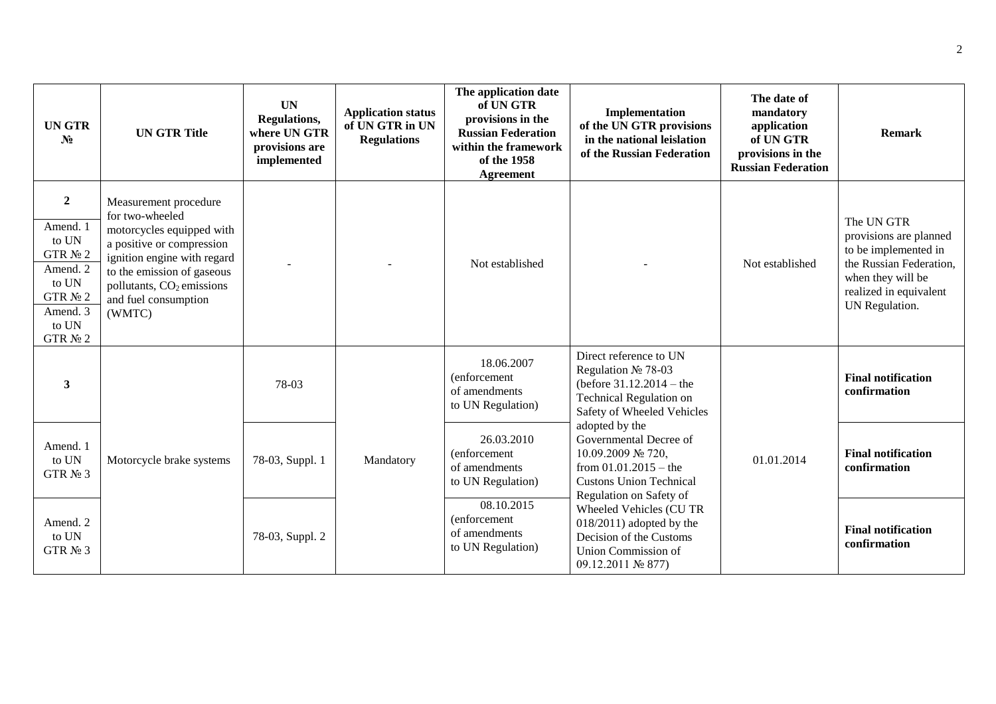| <b>UN GTR</b><br>$N_2$                                                                                                    | <b>UN GTR Title</b>                                                                                                                                                                                                                        | <b>UN</b><br>Regulations,<br>where UN GTR<br>provisions are<br>implemented | <b>Application status</b><br>of UN GTR in UN<br><b>Regulations</b> | The application date<br>of UN GTR<br>provisions in the<br><b>Russian Federation</b><br>within the framework<br>of the 1958<br><b>Agreement</b> | Implementation<br>of the UN GTR provisions<br>in the national leislation<br>of the Russian Federation                                                 | The date of<br>mandatory<br>application<br>of UN GTR<br>provisions in the<br><b>Russian Federation</b> | <b>Remark</b>                                                                                                                                            |
|---------------------------------------------------------------------------------------------------------------------------|--------------------------------------------------------------------------------------------------------------------------------------------------------------------------------------------------------------------------------------------|----------------------------------------------------------------------------|--------------------------------------------------------------------|------------------------------------------------------------------------------------------------------------------------------------------------|-------------------------------------------------------------------------------------------------------------------------------------------------------|--------------------------------------------------------------------------------------------------------|----------------------------------------------------------------------------------------------------------------------------------------------------------|
| $\boldsymbol{2}$<br>Amend. 1<br>to UN<br>GTR $N2$ 2<br>Amend. 2<br>to UN<br>GTR $N2$ 2<br>Amend. 3<br>to UN<br>GTR $N2$ 2 | Measurement procedure<br>for two-wheeled<br>motorcycles equipped with<br>a positive or compression<br>ignition engine with regard<br>to the emission of gaseous<br>pollutants, CO <sub>2</sub> emissions<br>and fuel consumption<br>(WMTC) |                                                                            |                                                                    | Not established                                                                                                                                |                                                                                                                                                       | Not established                                                                                        | The UN GTR<br>provisions are planned<br>to be implemented in<br>the Russian Federation,<br>when they will be<br>realized in equivalent<br>UN Regulation. |
| 3                                                                                                                         |                                                                                                                                                                                                                                            | 78-03                                                                      |                                                                    | 18.06.2007<br>(enforcement<br>of amendments<br>to UN Regulation)                                                                               | Direct reference to UN<br>Regulation № 78-03<br>(before $31.12.2014 -$ the<br><b>Technical Regulation on</b><br>Safety of Wheeled Vehicles            |                                                                                                        | <b>Final notification</b><br>confirmation                                                                                                                |
| Amend. 1<br>to UN<br>GTR № 3                                                                                              | Motorcycle brake systems                                                                                                                                                                                                                   | 78-03, Suppl. 1                                                            | Mandatory                                                          | 26.03.2010<br>(enforcement<br>of amendments<br>to UN Regulation)                                                                               | adopted by the<br>Governmental Decree of<br>10.09.2009 № 720,<br>from $01.01.2015 -$ the<br><b>Custons Union Technical</b><br>Regulation on Safety of | 01.01.2014                                                                                             | <b>Final notification</b><br>confirmation                                                                                                                |
| Amend. 2<br>to UN<br>GTR $N2$ 3                                                                                           |                                                                                                                                                                                                                                            | 78-03, Suppl. 2                                                            |                                                                    | 08.10.2015<br>(enforcement<br>of amendments<br>to UN Regulation)                                                                               | Wheeled Vehicles (CU TR<br>$018/2011$ ) adopted by the<br>Decision of the Customs<br>Union Commission of<br>09.12.2011 № 877)                         |                                                                                                        | <b>Final notification</b><br>confirmation                                                                                                                |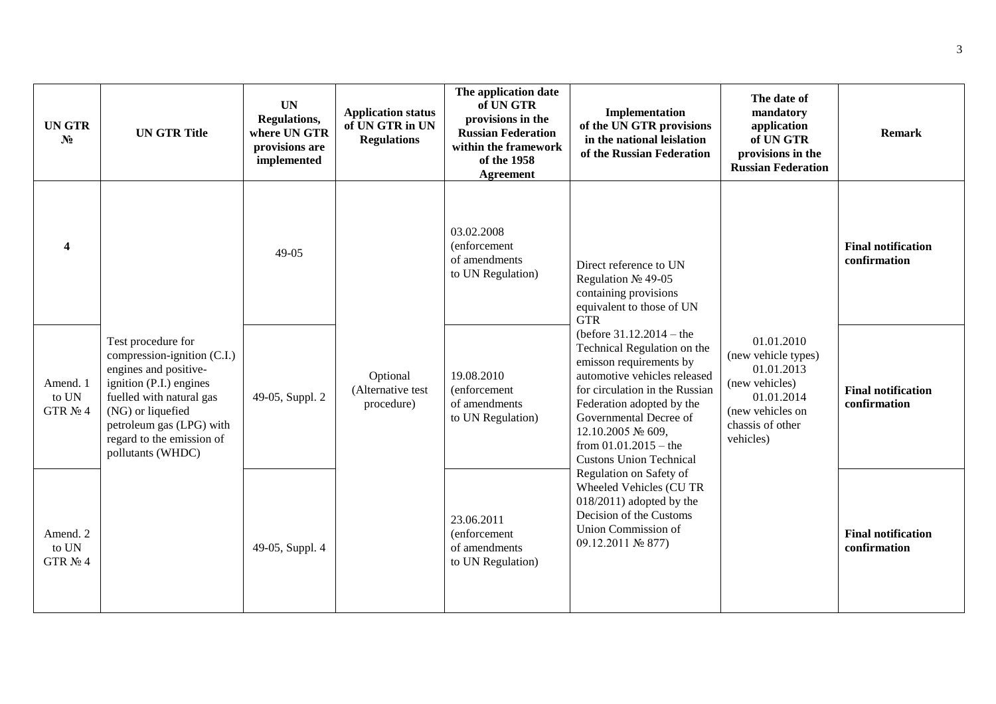| <b>UNGTR</b><br>$N_2$            | <b>UN GTR Title</b>                                                                                                                                                                                                                  | <b>UN</b><br>Regulations,<br>where UN GTR<br>provisions are<br>implemented | <b>Application status</b><br>of UN GTR in UN<br><b>Regulations</b> | The application date<br>of UN GTR<br>provisions in the<br><b>Russian Federation</b><br>within the framework<br>of the 1958<br><b>Agreement</b> | Implementation<br>of the UN GTR provisions<br>in the national leislation<br>of the Russian Federation                                                                                                                                                                                           | The date of<br>mandatory<br>application<br>of UN GTR<br>provisions in the<br><b>Russian Federation</b>                               | <b>Remark</b>                             |
|----------------------------------|--------------------------------------------------------------------------------------------------------------------------------------------------------------------------------------------------------------------------------------|----------------------------------------------------------------------------|--------------------------------------------------------------------|------------------------------------------------------------------------------------------------------------------------------------------------|-------------------------------------------------------------------------------------------------------------------------------------------------------------------------------------------------------------------------------------------------------------------------------------------------|--------------------------------------------------------------------------------------------------------------------------------------|-------------------------------------------|
| $\boldsymbol{4}$                 |                                                                                                                                                                                                                                      | 49-05                                                                      |                                                                    | 03.02.2008<br>(enforcement<br>of amendments<br>to UN Regulation)                                                                               | Direct reference to UN<br>Regulation № 49-05<br>containing provisions<br>equivalent to those of UN<br><b>GTR</b>                                                                                                                                                                                |                                                                                                                                      | <b>Final notification</b><br>confirmation |
| Amend. 1<br>to UN<br>GTR $N_2$ 4 | Test procedure for<br>compression-ignition (C.I.)<br>engines and positive-<br>ignition (P.I.) engines<br>fuelled with natural gas<br>(NG) or liquefied<br>petroleum gas (LPG) with<br>regard to the emission of<br>pollutants (WHDC) | 49-05, Suppl. 2                                                            | Optional<br>(Alternative test<br>procedure)                        | 19.08.2010<br>(enforcement)<br>of amendments<br>to UN Regulation)                                                                              | (before $31.12.2014 -$ the<br>Technical Regulation on the<br>emisson requirements by<br>automotive vehicles released<br>for circulation in the Russian<br>Federation adopted by the<br>Governmental Decree of<br>12.10.2005 № 609,<br>from $01.01.2015$ – the<br><b>Custons Union Technical</b> | 01.01.2010<br>(new vehicle types)<br>01.01.2013<br>(new vehicles)<br>01.01.2014<br>(new vehicles on<br>chassis of other<br>vehicles) | <b>Final notification</b><br>confirmation |
| Amend. 2<br>to UN<br>GTR $N_2$ 4 |                                                                                                                                                                                                                                      | 49-05, Suppl. 4                                                            |                                                                    | 23.06.2011<br>(enforcement<br>of amendments<br>to UN Regulation)                                                                               | Regulation on Safety of<br>Wheeled Vehicles (CU TR<br>$018/2011$ ) adopted by the<br>Decision of the Customs<br>Union Commission of<br>09.12.2011 № 877)                                                                                                                                        |                                                                                                                                      | <b>Final notification</b><br>confirmation |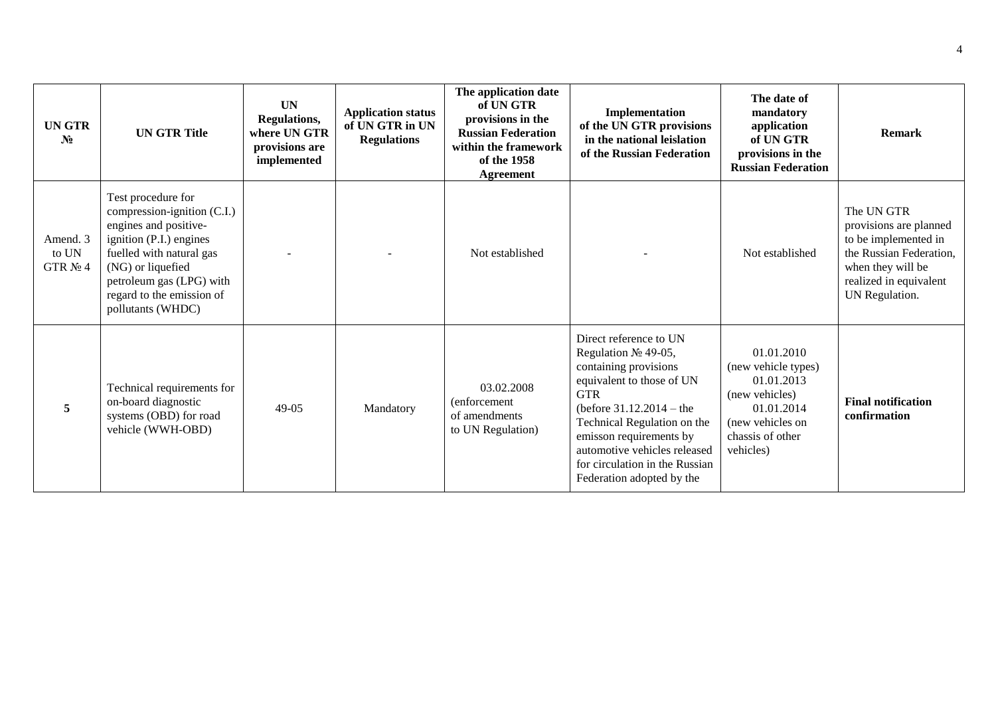| <b>UNGTR</b><br>$N_2$            | <b>UN GTR Title</b>                                                                                                                                                                                                                  | <b>UN</b><br>Regulations,<br>where UN GTR<br>provisions are<br>implemented | <b>Application status</b><br>of UN GTR in UN<br><b>Regulations</b> | The application date<br>of UN GTR<br>provisions in the<br><b>Russian Federation</b><br>within the framework<br>of the 1958<br>Agreement | Implementation<br>of the UN GTR provisions<br>in the national leislation<br>of the Russian Federation                                                                                                                                                                                                    | The date of<br>mandatory<br>application<br>of UN GTR<br>provisions in the<br><b>Russian Federation</b>                               | <b>Remark</b>                                                                                                                                            |
|----------------------------------|--------------------------------------------------------------------------------------------------------------------------------------------------------------------------------------------------------------------------------------|----------------------------------------------------------------------------|--------------------------------------------------------------------|-----------------------------------------------------------------------------------------------------------------------------------------|----------------------------------------------------------------------------------------------------------------------------------------------------------------------------------------------------------------------------------------------------------------------------------------------------------|--------------------------------------------------------------------------------------------------------------------------------------|----------------------------------------------------------------------------------------------------------------------------------------------------------|
| Amend. 3<br>to UN<br>GTR $N_2$ 4 | Test procedure for<br>compression-ignition (C.I.)<br>engines and positive-<br>ignition (P.I.) engines<br>fuelled with natural gas<br>(NG) or liquefied<br>petroleum gas (LPG) with<br>regard to the emission of<br>pollutants (WHDC) |                                                                            |                                                                    | Not established                                                                                                                         |                                                                                                                                                                                                                                                                                                          | Not established                                                                                                                      | The UN GTR<br>provisions are planned<br>to be implemented in<br>the Russian Federation,<br>when they will be<br>realized in equivalent<br>UN Regulation. |
| 5                                | Technical requirements for<br>on-board diagnostic<br>systems (OBD) for road<br>vehicle (WWH-OBD)                                                                                                                                     | $49-05$                                                                    | Mandatory                                                          | 03.02.2008<br>(enforcement<br>of amendments<br>to UN Regulation)                                                                        | Direct reference to UN<br>Regulation № 49-05,<br>containing provisions<br>equivalent to those of UN<br><b>GTR</b><br>(before $31.12.2014 -$ the<br>Technical Regulation on the<br>emisson requirements by<br>automotive vehicles released<br>for circulation in the Russian<br>Federation adopted by the | 01.01.2010<br>(new vehicle types)<br>01.01.2013<br>(new vehicles)<br>01.01.2014<br>(new vehicles on<br>chassis of other<br>vehicles) | <b>Final notification</b><br>confirmation                                                                                                                |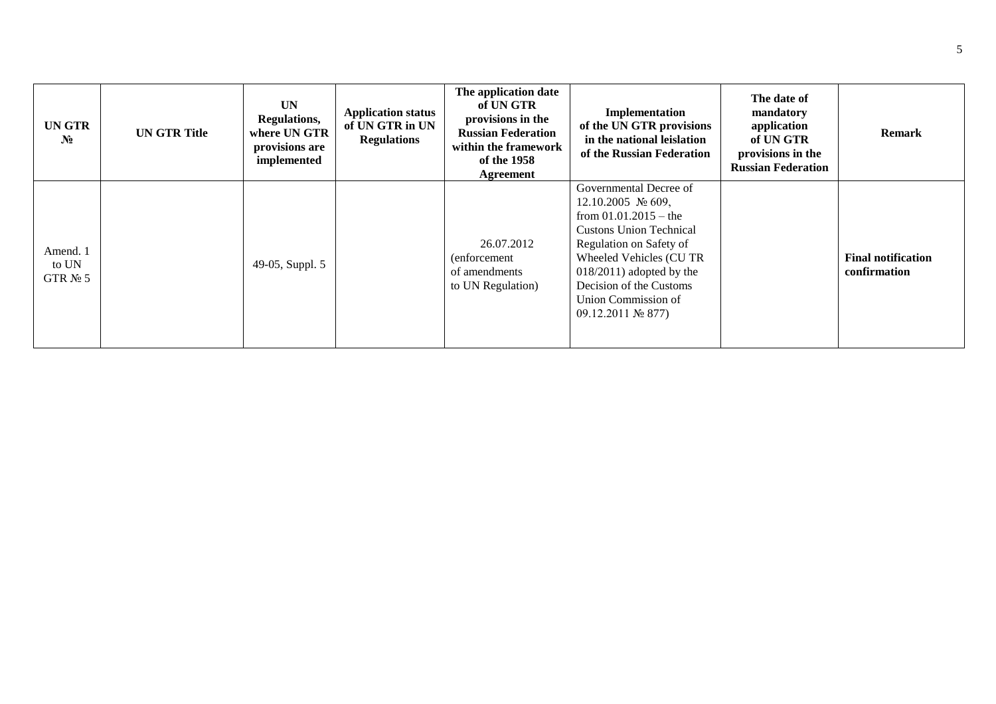| <b>UNGTR</b><br>$N_2$            | <b>UN GTR Title</b> | <b>UN</b><br>Regulations,<br>where UN GTR<br>provisions are<br>implemented | <b>Application status</b><br>of UN GTR in UN<br><b>Regulations</b> | The application date<br>of UN GTR<br>provisions in the<br><b>Russian Federation</b><br>within the framework<br>of the 1958<br>Agreement | Implementation<br>of the UN GTR provisions<br>in the national leislation<br>of the Russian Federation                                                                                                                                                                                                   | The date of<br>mandatory<br>application<br>of UN GTR<br>provisions in the<br><b>Russian Federation</b> | <b>Remark</b>                             |
|----------------------------------|---------------------|----------------------------------------------------------------------------|--------------------------------------------------------------------|-----------------------------------------------------------------------------------------------------------------------------------------|---------------------------------------------------------------------------------------------------------------------------------------------------------------------------------------------------------------------------------------------------------------------------------------------------------|--------------------------------------------------------------------------------------------------------|-------------------------------------------|
| Amend. 1<br>to UN<br>GTR $N_2$ 5 |                     | 49-05, Suppl. 5                                                            |                                                                    | 26.07.2012<br>(enforcement)<br>of amendments<br>to UN Regulation)                                                                       | Governmental Decree of<br>12.10.2005 $\mathcal{N}$ 609,<br>from $01.01.2015$ – the<br><b>Custons Union Technical</b><br>Regulation on Safety of<br>Wheeled Vehicles (CU TR<br>$018/2011$ ) adopted by the<br>Decision of the Customs<br>Union Commission of<br>$09.12.2011 \text{ N}$ <sup>2</sup> 877) |                                                                                                        | <b>Final notification</b><br>confirmation |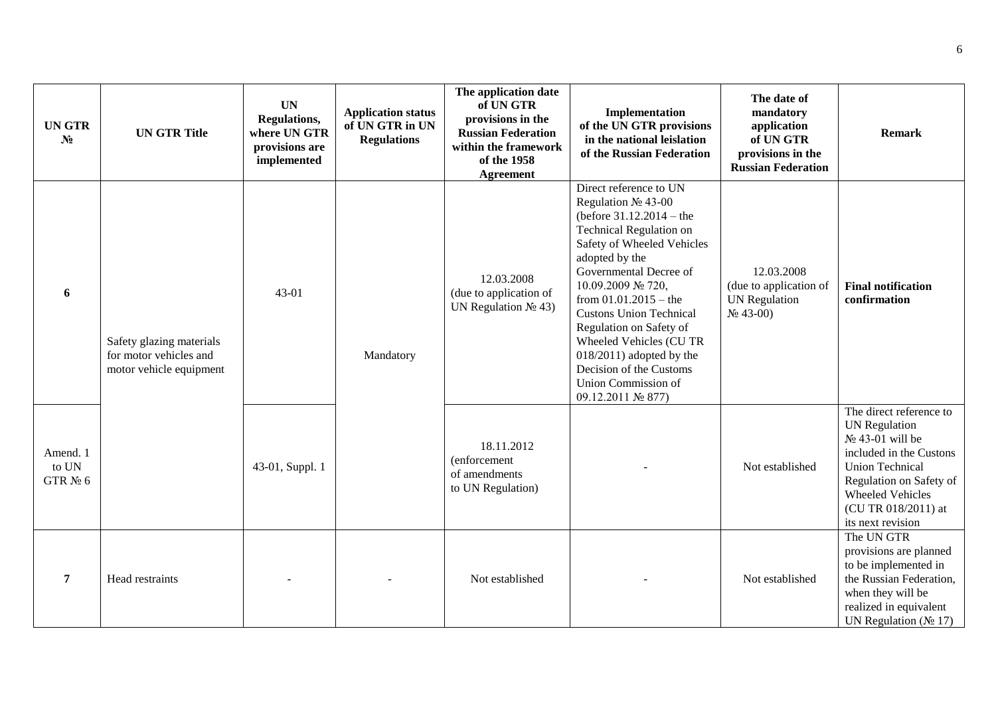| <b>UN GTR</b><br>$N_2$          | <b>UN GTR Title</b>                                                           | <b>UN</b><br>Regulations,<br>where UN GTR<br>provisions are<br>implemented | <b>Application status</b><br>of UN GTR in UN<br><b>Regulations</b> | The application date<br>of UN GTR<br>provisions in the<br><b>Russian Federation</b><br>within the framework<br>of the 1958<br><b>Agreement</b> | Implementation<br>of the UN GTR provisions<br>in the national leislation<br>of the Russian Federation                                                                                                                                                                                                                                                                                                                                | The date of<br>mandatory<br>application<br>of UN GTR<br>provisions in the<br><b>Russian Federation</b> | <b>Remark</b>                                                                                                                                                                                                                 |
|---------------------------------|-------------------------------------------------------------------------------|----------------------------------------------------------------------------|--------------------------------------------------------------------|------------------------------------------------------------------------------------------------------------------------------------------------|--------------------------------------------------------------------------------------------------------------------------------------------------------------------------------------------------------------------------------------------------------------------------------------------------------------------------------------------------------------------------------------------------------------------------------------|--------------------------------------------------------------------------------------------------------|-------------------------------------------------------------------------------------------------------------------------------------------------------------------------------------------------------------------------------|
| 6                               | Safety glazing materials<br>for motor vehicles and<br>motor vehicle equipment | 43-01                                                                      | Mandatory                                                          | 12.03.2008<br>(due to application of<br>UN Regulation $N_2$ 43)                                                                                | Direct reference to UN<br>Regulation № 43-00<br>(before $31.12.2014 -$ the<br><b>Technical Regulation on</b><br>Safety of Wheeled Vehicles<br>adopted by the<br>Governmental Decree of<br>10.09.2009 № 720,<br>from $01.01.2015 -$ the<br><b>Custons Union Technical</b><br>Regulation on Safety of<br>Wheeled Vehicles (CU TR<br>$018/2011$ ) adopted by the<br>Decision of the Customs<br>Union Commission of<br>09.12.2011 № 877) | 12.03.2008<br>(due to application of<br><b>UN</b> Regulation<br>$N_2$ 43-00)                           | <b>Final notification</b><br>confirmation                                                                                                                                                                                     |
| Amend. 1<br>to UN<br>GTR $N2$ 6 |                                                                               | 43-01, Suppl. 1                                                            |                                                                    | 18.11.2012<br>(enforcement<br>of amendments<br>to UN Regulation)                                                                               |                                                                                                                                                                                                                                                                                                                                                                                                                                      | Not established                                                                                        | The direct reference to<br><b>UN Regulation</b><br>$N_2$ 43-01 will be<br>included in the Custons<br><b>Union Technical</b><br>Regulation on Safety of<br><b>Wheeled Vehicles</b><br>(CU TR 018/2011) at<br>its next revision |
| $\overline{7}$                  | Head restraints                                                               |                                                                            |                                                                    | Not established                                                                                                                                |                                                                                                                                                                                                                                                                                                                                                                                                                                      | Not established                                                                                        | The UN GTR<br>provisions are planned<br>to be implemented in<br>the Russian Federation,<br>when they will be<br>realized in equivalent<br>UN Regulation ( $N_2$ 17)                                                           |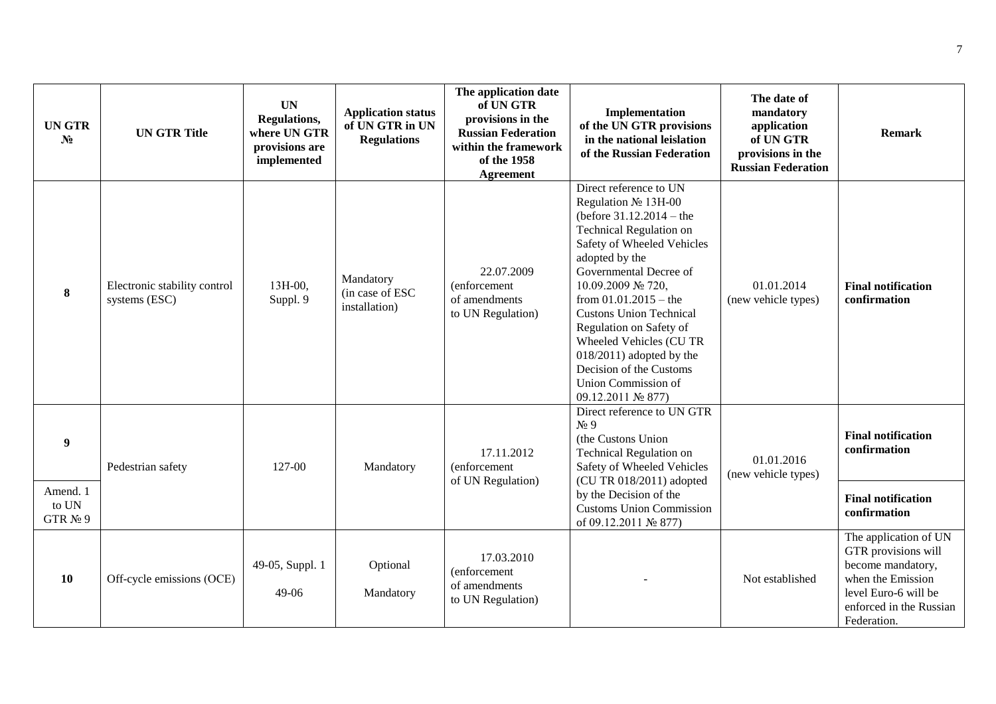| <b>UN GTR</b><br>N <sub>2</sub> | <b>UN GTR Title</b>                           | <b>UN</b><br>Regulations,<br>where UN GTR<br>provisions are<br>implemented | <b>Application status</b><br>of UN GTR in UN<br><b>Regulations</b> | The application date<br>of UN GTR<br>provisions in the<br><b>Russian Federation</b><br>within the framework<br>of the 1958<br><b>Agreement</b> | Implementation<br>of the UN GTR provisions<br>in the national leislation<br>of the Russian Federation                                                                                                                                                                                                                                                                                                                          | The date of<br>mandatory<br>application<br>of UN GTR<br>provisions in the<br><b>Russian Federation</b> | <b>Remark</b>                                                                                                                                                            |
|---------------------------------|-----------------------------------------------|----------------------------------------------------------------------------|--------------------------------------------------------------------|------------------------------------------------------------------------------------------------------------------------------------------------|--------------------------------------------------------------------------------------------------------------------------------------------------------------------------------------------------------------------------------------------------------------------------------------------------------------------------------------------------------------------------------------------------------------------------------|--------------------------------------------------------------------------------------------------------|--------------------------------------------------------------------------------------------------------------------------------------------------------------------------|
| 8                               | Electronic stability control<br>systems (ESC) | 13H-00,<br>Suppl. 9                                                        | Mandatory<br>(in case of ESC<br>installation)                      | 22.07.2009<br>(enforcement<br>of amendments<br>to UN Regulation)                                                                               | Direct reference to UN<br>Regulation № 13H-00<br>(before $31.12.2014 -$ the<br>Technical Regulation on<br>Safety of Wheeled Vehicles<br>adopted by the<br>Governmental Decree of<br>10.09.2009 № 720,<br>from $01.01.2015$ – the<br><b>Custons Union Technical</b><br>Regulation on Safety of<br>Wheeled Vehicles (CU TR<br>$018/2011$ ) adopted by the<br>Decision of the Customs<br>Union Commission of<br>09.12.2011 № 877) | 01.01.2014<br>(new vehicle types)                                                                      | <b>Final notification</b><br>confirmation                                                                                                                                |
| 9<br>Amend. 1<br>to UN          | Pedestrian safety                             | 127-00                                                                     | Mandatory                                                          | 17.11.2012<br>(enforcement<br>of UN Regulation)                                                                                                | Direct reference to UN GTR<br>$N_2$ 9<br>(the Custons Union<br>Technical Regulation on<br>Safety of Wheeled Vehicles<br>(CU TR 018/2011) adopted<br>by the Decision of the<br><b>Customs Union Commission</b>                                                                                                                                                                                                                  | 01.01.2016<br>(new vehicle types)                                                                      | <b>Final notification</b><br>confirmation<br><b>Final notification</b>                                                                                                   |
| GTR $N_2$ 9<br><b>10</b>        | Off-cycle emissions (OCE)                     | 49-05, Suppl. 1<br>49-06                                                   | Optional<br>Mandatory                                              | 17.03.2010<br>(enforcement<br>of amendments<br>to UN Regulation)                                                                               | of 09.12.2011 № 877)                                                                                                                                                                                                                                                                                                                                                                                                           | Not established                                                                                        | confirmation<br>The application of UN<br>GTR provisions will<br>become mandatory,<br>when the Emission<br>level Euro-6 will be<br>enforced in the Russian<br>Federation. |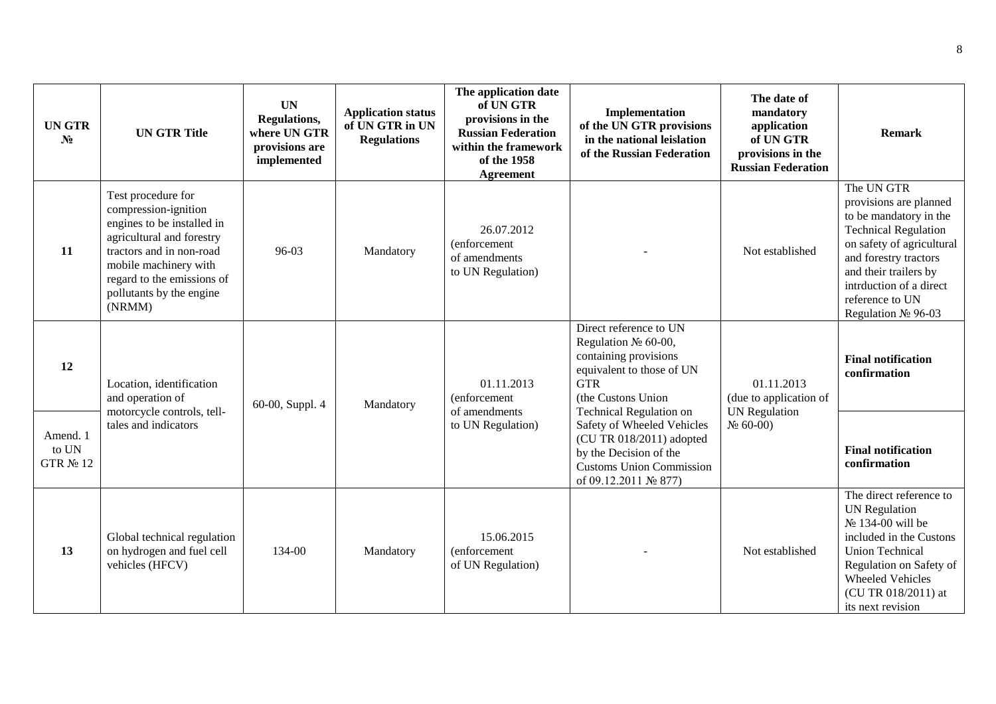| <b>UNGTR</b><br>$N_2$         | <b>UN GTR Title</b>                                                                                                                                                                                                            | <b>UN</b><br>Regulations,<br>where UN GTR<br>provisions are<br>implemented | <b>Application status</b><br>of UN GTR in UN<br><b>Regulations</b> | The application date<br>of UN GTR<br>provisions in the<br><b>Russian Federation</b><br>within the framework<br>of the 1958<br>Agreement | Implementation<br>of the UN GTR provisions<br>in the national leislation<br>of the Russian Federation                                                                         | The date of<br>mandatory<br>application<br>of UN GTR<br>provisions in the<br><b>Russian Federation</b> | <b>Remark</b>                                                                                                                                                                                                                                        |
|-------------------------------|--------------------------------------------------------------------------------------------------------------------------------------------------------------------------------------------------------------------------------|----------------------------------------------------------------------------|--------------------------------------------------------------------|-----------------------------------------------------------------------------------------------------------------------------------------|-------------------------------------------------------------------------------------------------------------------------------------------------------------------------------|--------------------------------------------------------------------------------------------------------|------------------------------------------------------------------------------------------------------------------------------------------------------------------------------------------------------------------------------------------------------|
| 11                            | Test procedure for<br>compression-ignition<br>engines to be installed in<br>agricultural and forestry<br>tractors and in non-road<br>mobile machinery with<br>regard to the emissions of<br>pollutants by the engine<br>(NRMM) | 96-03                                                                      | Mandatory                                                          | 26.07.2012<br>(enforcement<br>of amendments<br>to UN Regulation)                                                                        |                                                                                                                                                                               | Not established                                                                                        | The UN GTR<br>provisions are planned<br>to be mandatory in the<br><b>Technical Regulation</b><br>on safety of agricultural<br>and forestry tractors<br>and their trailers by<br>intrduction of a direct<br>reference to UN<br>Regulation $N_2$ 96-03 |
| 12                            | Location, identification<br>and operation of                                                                                                                                                                                   | 60-00, Suppl. 4                                                            | Mandatory                                                          | 01.11.2013<br>(enforcement<br>of amendments                                                                                             | Direct reference to UN<br>Regulation $\mathbb{N}$ <sup>o</sup> 60-00,<br>containing provisions<br>equivalent to those of UN<br><b>GTR</b><br>(the Custons Union               | 01.11.2013<br>(due to application of                                                                   | <b>Final notification</b><br>confirmation                                                                                                                                                                                                            |
| Amend. 1<br>to UN<br>GTR № 12 | motorcycle controls, tell-<br>tales and indicators                                                                                                                                                                             |                                                                            |                                                                    | to UN Regulation)                                                                                                                       | <b>Technical Regulation on</b><br>Safety of Wheeled Vehicles<br>(CU TR 018/2011) adopted<br>by the Decision of the<br><b>Customs Union Commission</b><br>of 09.12.2011 № 877) | <b>UN</b> Regulation<br>$N_2$ 60-00)                                                                   | <b>Final notification</b><br>confirmation                                                                                                                                                                                                            |
| 13                            | Global technical regulation<br>on hydrogen and fuel cell<br>vehicles (HFCV)                                                                                                                                                    | 134-00                                                                     | Mandatory                                                          | 15.06.2015<br>(enforcement<br>of UN Regulation)                                                                                         |                                                                                                                                                                               | Not established                                                                                        | The direct reference to<br><b>UN Regulation</b><br>№ 134-00 will be<br>included in the Custons<br><b>Union Technical</b><br>Regulation on Safety of<br><b>Wheeled Vehicles</b><br>(CU TR 018/2011) at<br>its next revision                           |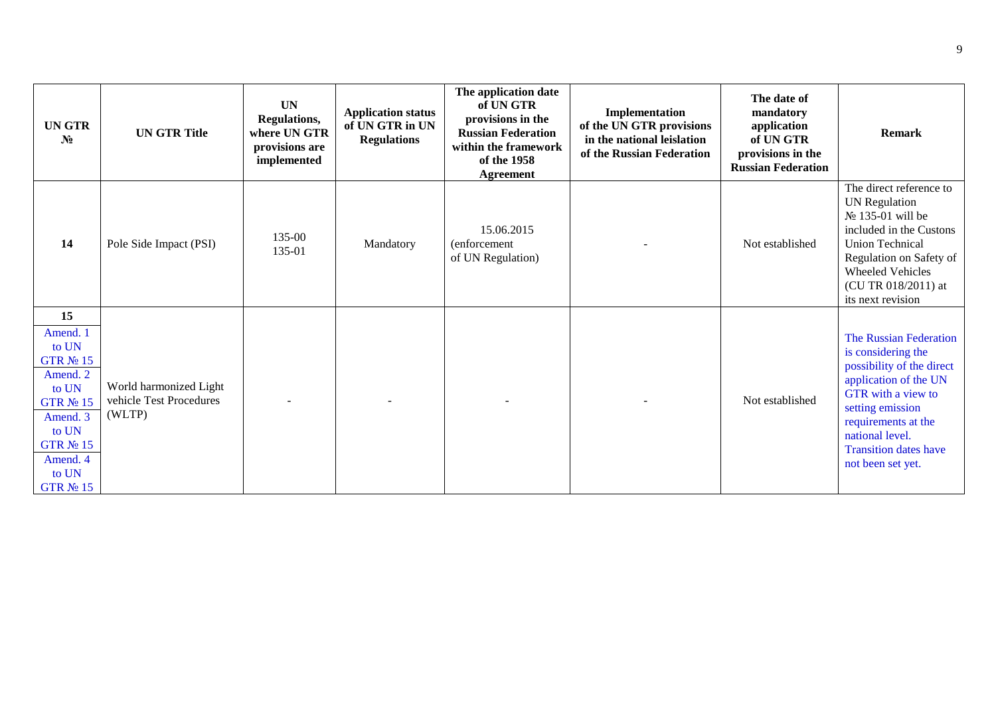| <b>UNGTR</b><br>$N_2$                                                                                                                                | <b>UN GTR Title</b>                                         | <b>UN</b><br>Regulations,<br>where UN GTR<br>provisions are<br>implemented | <b>Application status</b><br>of UN GTR in UN<br><b>Regulations</b> | The application date<br>of UN GTR<br>provisions in the<br><b>Russian Federation</b><br>within the framework<br>of the 1958<br><b>Agreement</b> | Implementation<br>of the UN GTR provisions<br>in the national leislation<br>of the Russian Federation | The date of<br>mandatory<br>application<br>of UN GTR<br>provisions in the<br><b>Russian Federation</b> | <b>Remark</b>                                                                                                                                                                                                                                      |
|------------------------------------------------------------------------------------------------------------------------------------------------------|-------------------------------------------------------------|----------------------------------------------------------------------------|--------------------------------------------------------------------|------------------------------------------------------------------------------------------------------------------------------------------------|-------------------------------------------------------------------------------------------------------|--------------------------------------------------------------------------------------------------------|----------------------------------------------------------------------------------------------------------------------------------------------------------------------------------------------------------------------------------------------------|
| 14                                                                                                                                                   | Pole Side Impact (PSI)                                      | 135-00<br>135-01                                                           | Mandatory                                                          | 15.06.2015<br>(enforcement<br>of UN Regulation)                                                                                                |                                                                                                       | Not established                                                                                        | The direct reference to<br><b>UN</b> Regulation<br>$N_2$ 135-01 will be<br>included in the Custons<br><b>Union Technical</b><br>Regulation on Safety of<br><b>Wheeled Vehicles</b><br>(CU TR 018/2011) at<br>its next revision                     |
| 15<br>Amend. 1<br>to UN<br>GTR № 15<br>Amend. 2<br>to UN<br><b>GTR № 15</b><br>Amend. 3<br>to UN<br>GTR № 15<br>Amend. 4<br>to UN<br><b>GTR № 15</b> | World harmonized Light<br>vehicle Test Procedures<br>(WLTP) |                                                                            |                                                                    |                                                                                                                                                |                                                                                                       | Not established                                                                                        | The Russian Federation<br>is considering the<br>possibility of the direct<br>application of the UN<br><b>GTR</b> with a view to<br>setting emission<br>requirements at the<br>national level.<br><b>Transition dates have</b><br>not been set yet. |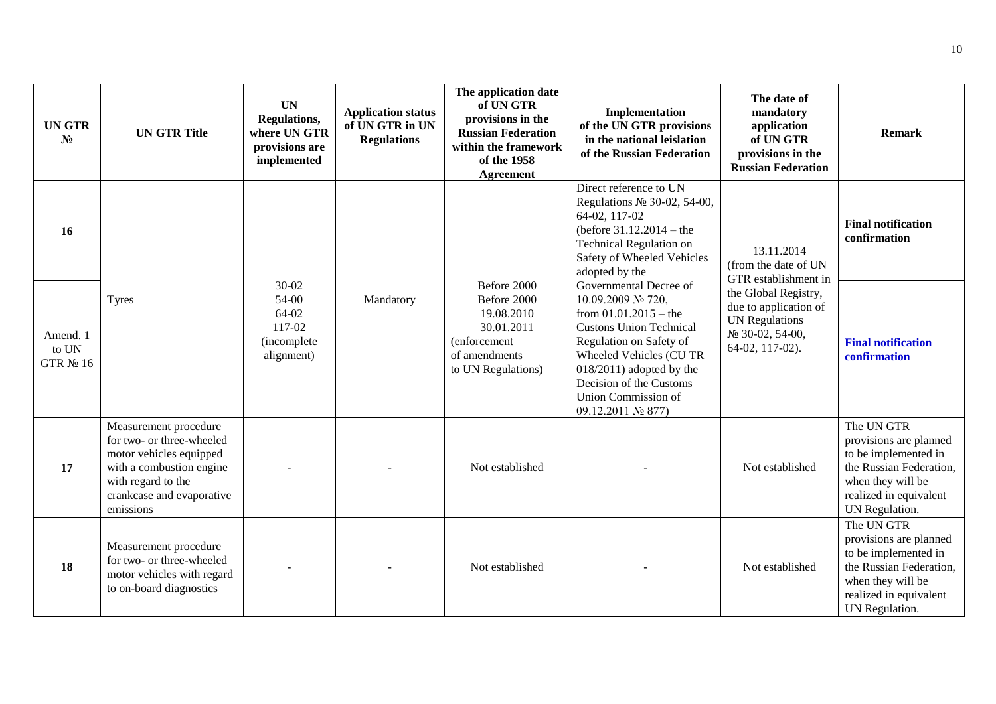| <b>UN GTR</b><br>N <sub>2</sub> | <b>UN GTR Title</b>                                                                                                                                                       | <b>UN</b><br>Regulations,<br>where UN GTR<br>provisions are<br>implemented | <b>Application status</b><br>of UN GTR in UN<br><b>Regulations</b> | The application date<br>of UN GTR<br>provisions in the<br><b>Russian Federation</b><br>within the framework<br>of the 1958<br><b>Agreement</b> | Implementation<br>of the UN GTR provisions<br>in the national leislation<br>of the Russian Federation                                                                                                                                                                | The date of<br>mandatory<br>application<br>of UN GTR<br>provisions in the<br><b>Russian Federation</b>                                                                     | <b>Remark</b>                                                                                                                                            |
|---------------------------------|---------------------------------------------------------------------------------------------------------------------------------------------------------------------------|----------------------------------------------------------------------------|--------------------------------------------------------------------|------------------------------------------------------------------------------------------------------------------------------------------------|----------------------------------------------------------------------------------------------------------------------------------------------------------------------------------------------------------------------------------------------------------------------|----------------------------------------------------------------------------------------------------------------------------------------------------------------------------|----------------------------------------------------------------------------------------------------------------------------------------------------------|
| 16                              |                                                                                                                                                                           |                                                                            |                                                                    |                                                                                                                                                | Direct reference to UN<br>Regulations $N2$ 30-02, 54-00,<br>64-02, 117-02<br>(before $31.12.2014 -$ the<br><b>Technical Regulation on</b><br>Safety of Wheeled Vehicles<br>adopted by the                                                                            | 13.11.2014<br>(from the date of UN<br>GTR establishment in<br>the Global Registry,<br>due to application of<br><b>UN Regulations</b><br>№ 30-02, 54-00,<br>64-02, 117-02). | <b>Final notification</b><br>confirmation                                                                                                                |
| Amend. 1<br>to UN<br>GTR № 16   | <b>Tyres</b>                                                                                                                                                              | $30 - 02$<br>54-00<br>64-02<br>117-02<br>(incomplete<br>alignment)         | Mandatory                                                          | Before 2000<br>Before 2000<br>19.08.2010<br>30.01.2011<br>(enforcement<br>of amendments<br>to UN Regulations)                                  | Governmental Decree of<br>10.09.2009 № 720,<br>from $01.01.2015 -$ the<br><b>Custons Union Technical</b><br>Regulation on Safety of<br>Wheeled Vehicles (CU TR<br>$018/2011$ ) adopted by the<br>Decision of the Customs<br>Union Commission of<br>09.12.2011 № 877) |                                                                                                                                                                            | <b>Final notification</b><br>confirmation                                                                                                                |
| 17                              | Measurement procedure<br>for two- or three-wheeled<br>motor vehicles equipped<br>with a combustion engine<br>with regard to the<br>crankcase and evaporative<br>emissions |                                                                            |                                                                    | Not established                                                                                                                                |                                                                                                                                                                                                                                                                      | Not established                                                                                                                                                            | The UN GTR<br>provisions are planned<br>to be implemented in<br>the Russian Federation,<br>when they will be<br>realized in equivalent<br>UN Regulation. |
| 18                              | Measurement procedure<br>for two- or three-wheeled<br>motor vehicles with regard<br>to on-board diagnostics                                                               |                                                                            |                                                                    | Not established                                                                                                                                |                                                                                                                                                                                                                                                                      | Not established                                                                                                                                                            | The UN GTR<br>provisions are planned<br>to be implemented in<br>the Russian Federation,<br>when they will be<br>realized in equivalent<br>UN Regulation. |